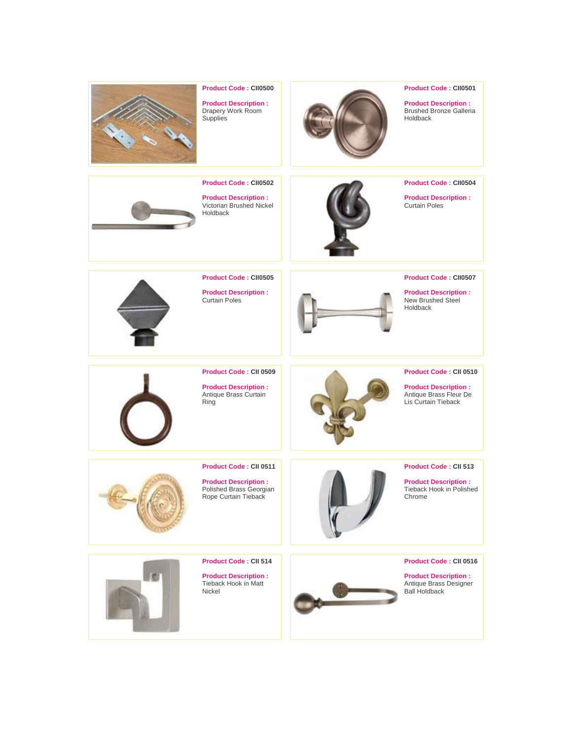

# **Product Code : CII0500**

**Product Description :** Drapery Work Room **Supplies** 



# **Product Code : CII0501**

**Product Description :** Brushed Bronze Galleria Holdback

**Product Code : CII0502 Product Description :** Victorian Brushed Nickel Holdback



**Product Code : CII0504**

**Product Description :** Curtain Poles



**Product Code : CII0505**

**Product Description :** Curtain Poles



**Product Code : CII0507**

**Product Description :** New Brushed Steel Holdback



**Product Code : CII 0509**

**Product Description :** Antique Brass Curtain Ring



### **Product Code : CII 0510**

**Product Description :** Antique Brass Fleur De Lis Curtain Tieback



#### **Product Code : CII 0511**

**Product Description :** Polished Brass Georgian Rope Curtain Tieback



# **Product Code : CII 513**

**Product Description :** Tieback Hook in Polished Chrome



**Product Code : CII 514**

**Product Description :** Tieback Hook in Matt Nickel



## **Product Code : CII 0516**

**Product Description :** Antique Brass Designer Ball Holdback